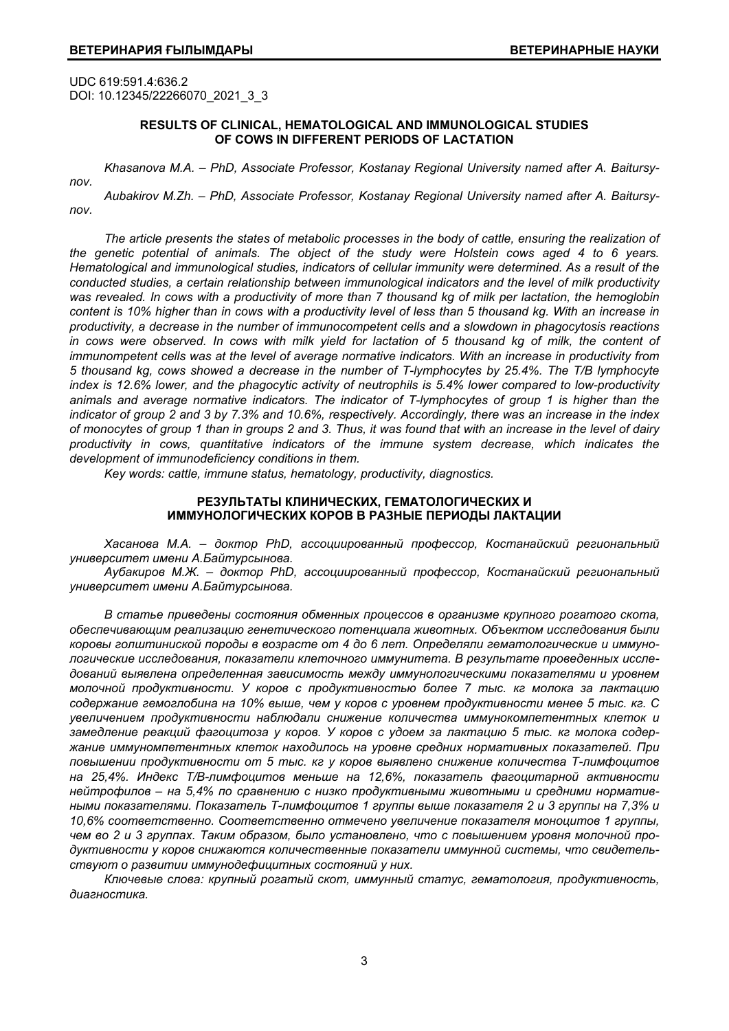UDC 619:591.4:636.2 DOI: 10.12345/22266070\_2021\_3\_3

#### **RESULTS OF CLINICAL, HEMATOLOGICAL AND IMMUNOLOGICAL STUDIES OF COWS IN DIFFERENT PERIODS OF LACTATION**

*nov.* 

*Khasanova M.A. – PhD, Associate Professor, Kostanay Regional University named after A. Baitursy-*

*Aubakirov M.Zh. – PhD, Associate Professor, Kostanay Regional University named after A. Baitursynov.* 

*The article presents the states of metabolic processes in the body of cattle, ensuring the realization of the genetic potential of animals. The object of the study were Holstein cows aged 4 to 6 years. Hematological and immunological studies, indicators of cellular immunity were determined. As a result of the conducted studies, a certain relationship between immunological indicators and the level of milk productivity was revealed. In cows with a productivity of more than 7 thousand kg of milk per lactation, the hemoglobin content is 10% higher than in cows with a productivity level of less than 5 thousand kg. With an increase in productivity, a decrease in the number of immunocompetent cells and a slowdown in phagocytosis reactions*  in cows were observed. In cows with milk yield for lactation of 5 thousand kg of milk, the content of *immunompetent cells was at the level of average normative indicators. With an increase in productivity from 5 thousand kg, cows showed a decrease in the number of T-lymphocytes by 25.4%. The T/B lymphocyte index is 12.6% lower, and the phagocytic activity of neutrophils is 5.4% lower compared to low-productivity animals and average normative indicators. The indicator of T-lymphocytes of group 1 is higher than the indicator of group 2 and 3 by 7.3% and 10.6%, respectively. Accordingly, there was an increase in the index of monocytes of group 1 than in groups 2 and 3. Thus, it was found that with an increase in the level of dairy productivity in cows, quantitative indicators of the immune system decrease, which indicates the development of immunodeficiency conditions in them.* 

*Key words: cattle, immune status, hematology, productivity, diagnostics.* 

# **РЕЗУЛЬТАТЫ КЛИНИЧЕСКИХ, ГЕМАТОЛОГИЧЕСКИХ И ИММУНОЛОГИЧЕСКИХ КОРОВ В РАЗНЫЕ ПЕРИОДЫ ЛАКТАЦИИ**

*Хасанова М.А. – доктор PhD, ассоциированный профессор, Костанайский региональный университет имени А.Байтурсынова.* 

*Аубакиров М.Ж. – доктор PhD, ассоциированный профессор, Костанайский региональный университет имени А.Байтурсынова.* 

*В статье приведены состояния обменных процессов в организме крупного рогатого скота, обеспечивающим реализацию генетического потенциала животных. Объектом исследования были коровы голштиниской породы в возрасте от 4 до 6 лет. Определяли гематологические и иммунологические исследования, показатели клеточного иммунитета. В результате проведенных исследований выявлена определенная зависимость между иммунологическими показателями и уровнем молочной продуктивности. У коров с продуктивностью более 7 тыс. кг молока за лактацию содержание гемоглобина на 10% выше, чем у коров с уровнем продуктивности менее 5 тыс. кг. С увеличением продуктивности наблюдали снижение количества иммунокомпетентных клеток и замедление реакций фагоцитоза у коров. У коров с удоем за лактацию 5 тыс. кг молока содержание иммуномпетентных клеток находилось на уровне средних нормативных показателей. При повышении продуктивности от 5 тыс. кг у коров выявлено снижение количества Т-лимфоцитов на 25,4%. Индекс Т/В-лимфоцитов меньше на 12,6%, показатель фагоцитарной активности нейтрофилов – на 5,4% по сравнению с низко продуктивными животными и средними нормативными показателями. Показатель Т-лимфоцитов 1 группы выше показателя 2 и 3 группы на 7,3% и 10,6% соответственно. Соответственно отмечено увеличение показателя моноцитов 1 группы,*  чем во 2 и 3 группах. Таким образом, было установлено, что с повышением уровня молочной про*дуктивности у коров снижаются количественные показатели иммунной системы, что свидетельствуют о развитии иммунодефицитных состояний у них.* 

*Ключевые слова: крупный рогатый скот, иммунный статус, гематология, продуктивность, диагностика.*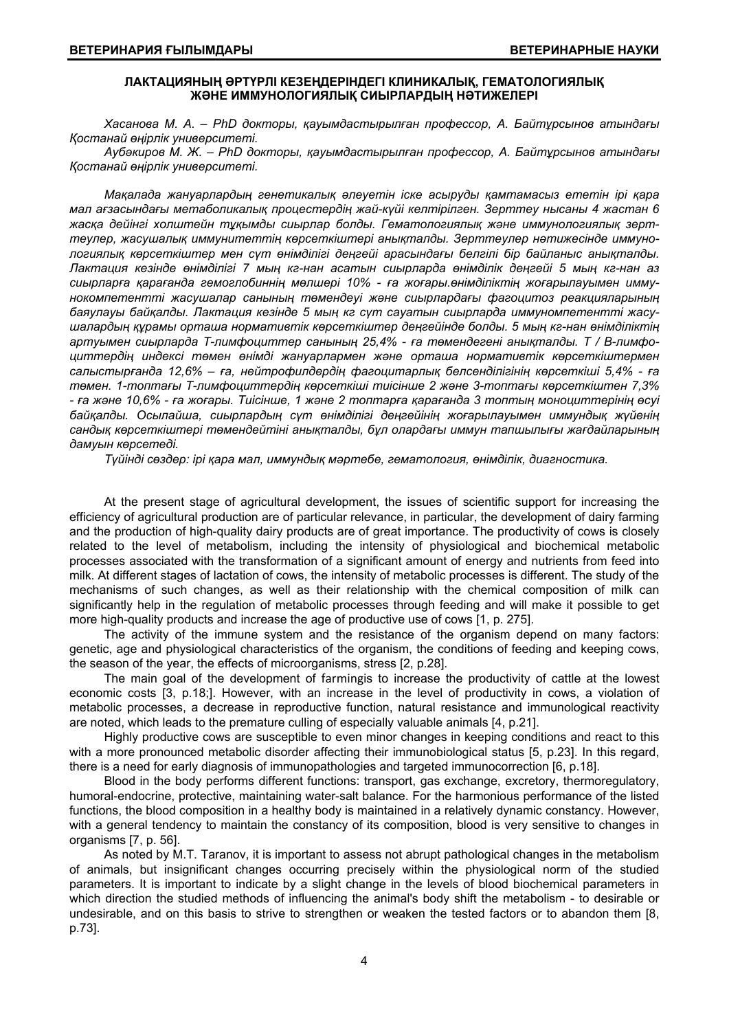### **ЛАКТАЦИЯНЫҢ ƏРТҮРЛІ КЕЗЕҢДЕРІНДЕГІ КЛИНИКАЛЫҚ, ГЕМАТОЛОГИЯЛЫҚ ЖƏНЕ ИММУНОЛОГИЯЛЫҚ СИЫРЛАРДЫҢ НƏТИЖЕЛЕРІ**

*Хасанова М. А. – PhD докторы, қауымдастырылған профессор, А. Байтұрсынов атындағы Қостанай өңірлік университеті.* 

*Аубəкиров М. Ж. – PhD докторы, қауымдастырылған профессор, А. Байтұрсынов атындағы Қостанай өңірлік университеті.* 

*Мақалада жануарлардың генетикалық əлеуетін іске асыруды қамтамасыз ететін ірі қара мал ағзасындағы метаболикалық процестердің жай-күйі келтірілген. Зерттеу нысаны 4 жастан 6 жасқа дейінгі холштейн тұқымды сиырлар болды. Гематологиялық жəне иммунологиялық зерттеулер, жасушалық иммунитеттің көрсеткіштері анықталды. Зерттеулер нəтижесінде иммунологиялық көрсеткіштер мен сүт өнімділігі деңгейі арасындағы белгілі бір байланыс анықталды. Лактация кезінде өнімділігі 7 мың кг-нан асатын сиырларда өнімділік деңгейі 5 мың кг-нан аз сиырларға қарағанда гемоглобиннің мөлшері 10% - ға жоғары.өнімділіктің жоғарылауымен иммунокомпетентті жасушалар санының төмендеуі жəне сиырлардағы фагоцитоз реакцияларының баяулауы байқалды. Лактация кезінде 5 мың кг сүт сауатын сиырларда иммуномпетентті жасушалардың құрамы орташа нормативтік көрсеткіштер деңгейінде болды. 5 мың кг-нан өнімділіктің артуымен сиырларда Т-лимфоциттер санының 25,4% - ға төмендегені анықталды. Т / В-лимфоциттердің индексі төмен өнімді жануарлармен жəне орташа нормативтік көрсеткіштермен салыстырғанда 12,6% – ға, нейтрофилдердің фагоцитарлық белсенділігінің көрсеткіші 5,4% - ға төмен. 1-топтағы Т-лимфоциттердің көрсеткіші тиісінше 2 жəне 3-топтағы көрсеткіштен 7,3% - ға жəне 10,6% - ға жоғары. Тиісінше, 1 жəне 2 топтарға қарағанда 3 топтың моноциттерінің өсуі байқалды. Осылайша, сиырлардың сүт өнімділігі деңгейінің жоғарылауымен иммундық жүйенің сандық көрсеткіштері төмендейтіні анықталды, бұл олардағы иммун тапшылығы жағдайларының дамуын көрсетеді.* 

*Түйінді сөздер: ірі қара мал, иммундық мəртебе, гематология, өнімділік, диагностика.* 

At the present stage of agricultural development, the issues of scientific support for increasing the efficiency of agricultural production are of particular relevance, in particular, the development of dairy farming and the production of high-quality dairy products are of great importance. The productivity of cows is closely related to the level of metabolism, including the intensity of physiological and biochemical metabolic processes associated with the transformation of a significant amount of energy and nutrients from feed into milk. At different stages of lactation of cows, the intensity of metabolic processes is different. The study of the mechanisms of such changes, as well as their relationship with the chemical composition of milk can significantly help in the regulation of metabolic processes through feeding and will make it possible to get more high-quality products and increase the age of productive use of cows [1, p. 275].

The activity of the immune system and the resistance of the organism depend on many factors: genetic, age and physiological characteristics of the organism, the conditions of feeding and keeping cows, the season of the year, the effects of microorganisms, stress [2, p.28].

The main goal of the development of farmingis to increase the productivity of cattle at the lowest economic costs [3, p.18;]. However, with an increase in the level of productivity in cows, a violation of metabolic processes, a decrease in reproductive function, natural resistance and immunological reactivity are noted, which leads to the premature culling of especially valuable animals [4, p.21].

Highly productive cows are susceptible to even minor changes in keeping conditions and react to this with a more pronounced metabolic disorder affecting their immunobiological status [5, p.23]. In this regard, there is a need for early diagnosis of immunopathologies and targeted immunocorrection [6, p.18].

Blood in the body performs different functions: transport, gas exchange, excretory, thermoregulatory, humoral-endocrine, protective, maintaining water-salt balance. For the harmonious performance of the listed functions, the blood composition in a healthy body is maintained in a relatively dynamic constancy. However, with a general tendency to maintain the constancy of its composition, blood is very sensitive to changes in organisms [7, p. 56].

As noted by M.T. Taranov, it is important to assess not abrupt pathological changes in the metabolism of animals, but insignificant changes occurring precisely within the physiological norm of the studied parameters. It is important to indicate by a slight change in the levels of blood biochemical parameters in which direction the studied methods of influencing the animal's body shift the metabolism - to desirable or undesirable, and on this basis to strive to strengthen or weaken the tested factors or to abandon them [8, p.73].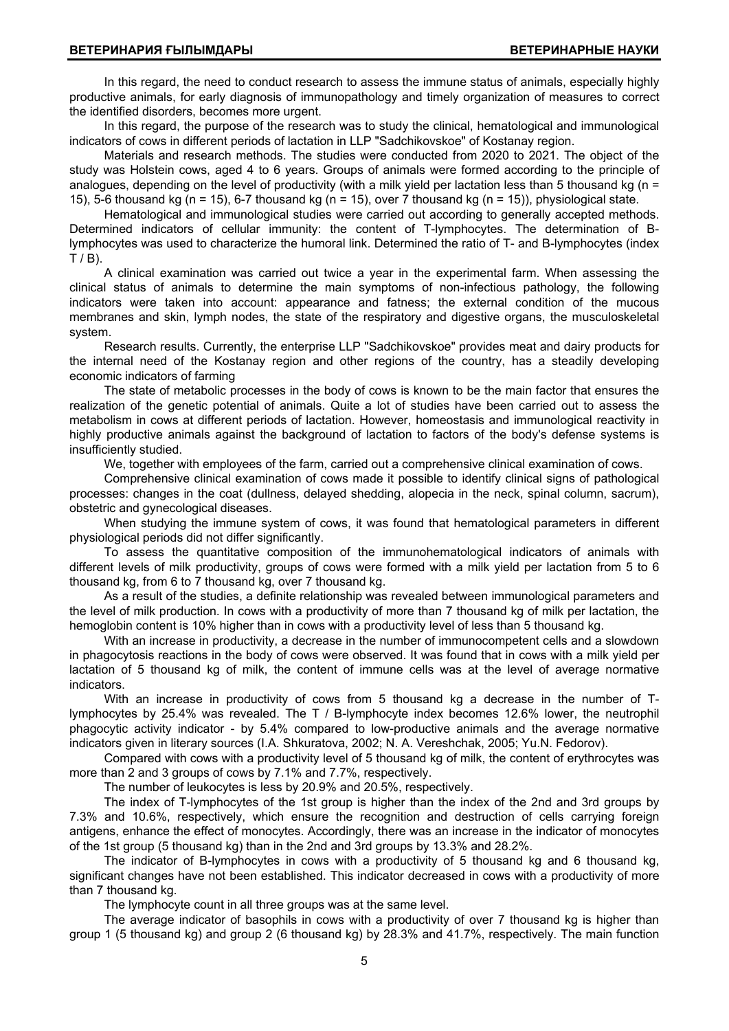In this regard, the need to conduct research to assess the immune status of animals, especially highly productive animals, for early diagnosis of immunopathology and timely organization of measures to correct the identified disorders, becomes more urgent.

In this regard, the purpose of the research was to study the clinical, hematological and immunological indicators of cows in different periods of lactation in LLP "Sadchikovskoe" of Kostanay region.

Materials and research methods. The studies were conducted from 2020 to 2021. The object of the study was Holstein cows, aged 4 to 6 years. Groups of animals were formed according to the principle of analogues, depending on the level of productivity (with a milk yield per lactation less than 5 thousand kg (n = 15), 5-6 thousand kg (n = 15), 6-7 thousand kg (n = 15), over 7 thousand kg (n = 15)), physiological state.

Hematological and immunological studies were carried out according to generally accepted methods. Determined indicators of cellular immunity: the content of T-lymphocytes. The determination of Blymphocytes was used to characterize the humoral link. Determined the ratio of T- and B-lymphocytes (index  $T / B$ ).

A clinical examination was carried out twice a year in the experimental farm. When assessing the clinical status of animals to determine the main symptoms of non-infectious pathology, the following indicators were taken into account: appearance and fatness; the external condition of the mucous membranes and skin, lymph nodes, the state of the respiratory and digestive organs, the musculoskeletal system.

Research results. Currently, the enterprise LLP "Sadchikovskoe" provides meat and dairy products for the internal need of the Kostanay region and other regions of the country, has a steadily developing economic indicators of farming

The state of metabolic processes in the body of cows is known to be the main factor that ensures the realization of the genetic potential of animals. Quite a lot of studies have been carried out to assess the metabolism in cows at different periods of lactation. However, homeostasis and immunological reactivity in highly productive animals against the background of lactation to factors of the body's defense systems is insufficiently studied.

We, together with employees of the farm, carried out a comprehensive clinical examination of cows.

Comprehensive clinical examination of cows made it possible to identify clinical signs of pathological processes: changes in the coat (dullness, delayed shedding, alopecia in the neck, spinal column, sacrum), obstetric and gynecological diseases.

When studying the immune system of cows, it was found that hematological parameters in different physiological periods did not differ significantly.

To assess the quantitative composition of the immunohematological indicators of animals with different levels of milk productivity, groups of cows were formed with a milk yield per lactation from 5 to 6 thousand kg, from 6 to 7 thousand kg, over 7 thousand kg.

As a result of the studies, a definite relationship was revealed between immunological parameters and the level of milk production. In cows with a productivity of more than 7 thousand kg of milk per lactation, the hemoglobin content is 10% higher than in cows with a productivity level of less than 5 thousand kg.

With an increase in productivity, a decrease in the number of immunocompetent cells and a slowdown in phagocytosis reactions in the body of cows were observed. It was found that in cows with a milk yield per lactation of 5 thousand kg of milk, the content of immune cells was at the level of average normative indicators.

With an increase in productivity of cows from 5 thousand kg a decrease in the number of Tlymphocytes by 25.4% was revealed. The T / B-lymphocyte index becomes 12.6% lower, the neutrophil phagocytic activity indicator - by 5.4% compared to low-productive animals and the average normative indicators given in literary sources (I.A. Shkuratova, 2002; N. A. Vereshchak, 2005; Yu.N. Fedorov).

Compared with cows with a productivity level of 5 thousand kg of milk, the content of erythrocytes was more than 2 and 3 groups of cows by 7.1% and 7.7%, respectively.

The number of leukocytes is less by 20.9% and 20.5%, respectively.

The index of T-lymphocytes of the 1st group is higher than the index of the 2nd and 3rd groups by 7.3% and 10.6%, respectively, which ensure the recognition and destruction of cells carrying foreign antigens, enhance the effect of monocytes. Accordingly, there was an increase in the indicator of monocytes of the 1st group (5 thousand kg) than in the 2nd and 3rd groups by 13.3% and 28.2%.

The indicator of B-lymphocytes in cows with a productivity of 5 thousand kg and 6 thousand kg, significant changes have not been established. This indicator decreased in cows with a productivity of more than 7 thousand kg.

The lymphocyte count in all three groups was at the same level.

The average indicator of basophils in cows with a productivity of over 7 thousand kg is higher than group 1 (5 thousand kg) and group 2 (6 thousand kg) by 28.3% and 41.7%, respectively. The main function